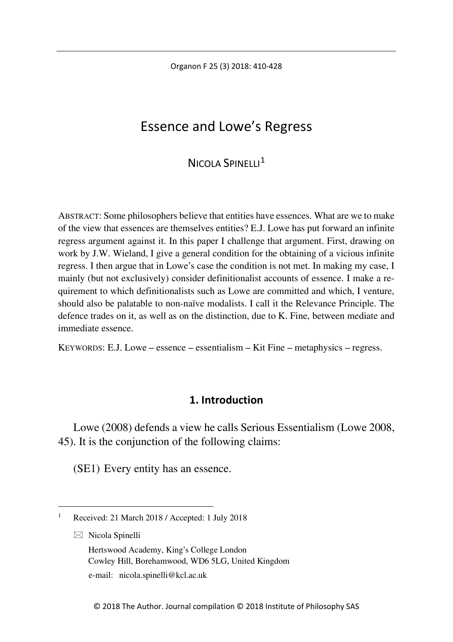Organon F 25 (3) 2018: 410-428

# Essence and Lowe's Regress

# $N$ ICOLA SPINELLI<sup>[1](#page-0-0)</sup>

ABSTRACT: Some philosophers believe that entities have essences. What are we to make of the view that essences are themselves entities? E.J. Lowe has put forward an infinite regress argument against it. In this paper I challenge that argument. First, drawing on work by J.W. Wieland, I give a general condition for the obtaining of a vicious infinite regress. I then argue that in Lowe's case the condition is not met. In making my case, I mainly (but not exclusively) consider definitionalist accounts of essence. I make a requirement to which definitionalists such as Lowe are committed and which, I venture, should also be palatable to non-naïve modalists. I call it the Relevance Principle. The defence trades on it, as well as on the distinction, due to K. Fine, between mediate and immediate essence.

KEYWORDS: E.J. Lowe – essence – essentialism – Kit Fine – metaphysics – regress.

## **1. Introduction**

Lowe (2008) defends a view he calls Serious Essentialism (Lowe 2008, 45). It is the conjunction of the following claims:

(SE1) Every entity has an essence.

- $\boxtimes$  Nicola Spinelli
	- Hertswood Academy, King's College London Cowley Hill, Borehamwood, WD6 5LG, United Kingdom

e-mail: nicola.spinelli@kcl.ac.uk

<span id="page-0-0"></span> <sup>1</sup> Received: 21 March 2018 / Accepted: 1 July 2018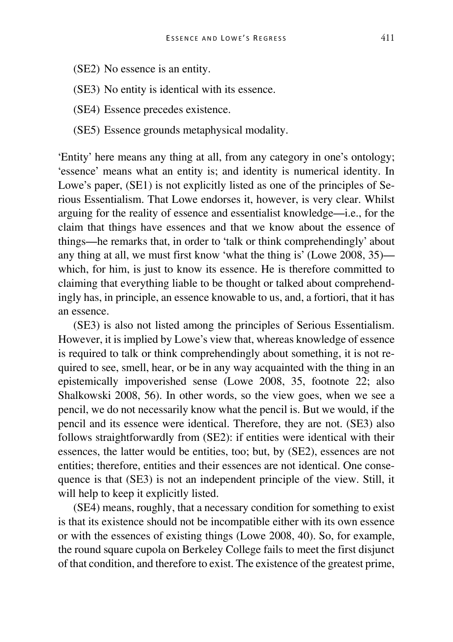- (SE2) No essence is an entity.
- (SE3) No entity is identical with its essence.
- (SE4) Essence precedes existence.
- (SE5) Essence grounds metaphysical modality.

'Entity' here means any thing at all, from any category in one's ontology; 'essence' means what an entity is; and identity is numerical identity. In Lowe's paper, (SE1) is not explicitly listed as one of the principles of Serious Essentialism. That Lowe endorses it, however, is very clear. Whilst arguing for the reality of essence and essentialist knowledge—i.e., for the claim that things have essences and that we know about the essence of things—he remarks that, in order to 'talk or think comprehendingly' about any thing at all, we must first know 'what the thing is' (Lowe 2008, 35) which, for him, is just to know its essence. He is therefore committed to claiming that everything liable to be thought or talked about comprehendingly has, in principle, an essence knowable to us, and, a fortiori, that it has an essence.

(SE3) is also not listed among the principles of Serious Essentialism. However, it is implied by Lowe's view that, whereas knowledge of essence is required to talk or think comprehendingly about something, it is not required to see, smell, hear, or be in any way acquainted with the thing in an epistemically impoverished sense (Lowe 2008, 35, footnote 22; also Shalkowski 2008, 56). In other words, so the view goes, when we see a pencil, we do not necessarily know what the pencil is. But we would, if the pencil and its essence were identical. Therefore, they are not. (SE3) also follows straightforwardly from (SE2): if entities were identical with their essences, the latter would be entities, too; but, by (SE2), essences are not entities; therefore, entities and their essences are not identical. One consequence is that (SE3) is not an independent principle of the view. Still, it will help to keep it explicitly listed.

(SE4) means, roughly, that a necessary condition for something to exist is that its existence should not be incompatible either with its own essence or with the essences of existing things (Lowe 2008, 40). So, for example, the round square cupola on Berkeley College fails to meet the first disjunct of that condition, and therefore to exist. The existence of the greatest prime,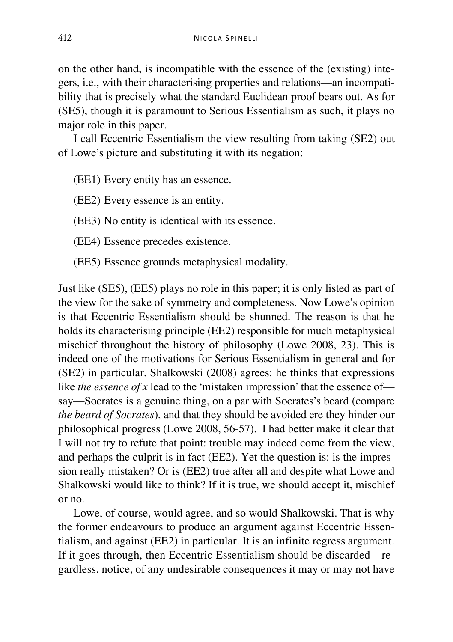on the other hand, is incompatible with the essence of the (existing) integers, i.e., with their characterising properties and relations—an incompatibility that is precisely what the standard Euclidean proof bears out. As for (SE5), though it is paramount to Serious Essentialism as such, it plays no major role in this paper.

I call Eccentric Essentialism the view resulting from taking (SE2) out of Lowe's picture and substituting it with its negation:

(EE1) Every entity has an essence.

(EE2) Every essence is an entity.

(EE3) No entity is identical with its essence.

(EE4) Essence precedes existence.

(EE5) Essence grounds metaphysical modality.

Just like (SE5), (EE5) plays no role in this paper; it is only listed as part of the view for the sake of symmetry and completeness. Now Lowe's opinion is that Eccentric Essentialism should be shunned. The reason is that he holds its characterising principle (EE2) responsible for much metaphysical mischief throughout the history of philosophy (Lowe 2008, 23). This is indeed one of the motivations for Serious Essentialism in general and for (SE2) in particular. Shalkowski (2008) agrees: he thinks that expressions like *the essence of x* lead to the 'mistaken impression' that the essence of say—Socrates is a genuine thing, on a par with Socrates's beard (compare *the beard of Socrates*), and that they should be avoided ere they hinder our philosophical progress (Lowe 2008, 56-57). I had better make it clear that I will not try to refute that point: trouble may indeed come from the view, and perhaps the culprit is in fact (EE2). Yet the question is: is the impression really mistaken? Or is (EE2) true after all and despite what Lowe and Shalkowski would like to think? If it is true, we should accept it, mischief or no.

Lowe, of course, would agree, and so would Shalkowski. That is why the former endeavours to produce an argument against Eccentric Essentialism, and against (EE2) in particular. It is an infinite regress argument. If it goes through, then Eccentric Essentialism should be discarded—regardless, notice, of any undesirable consequences it may or may not have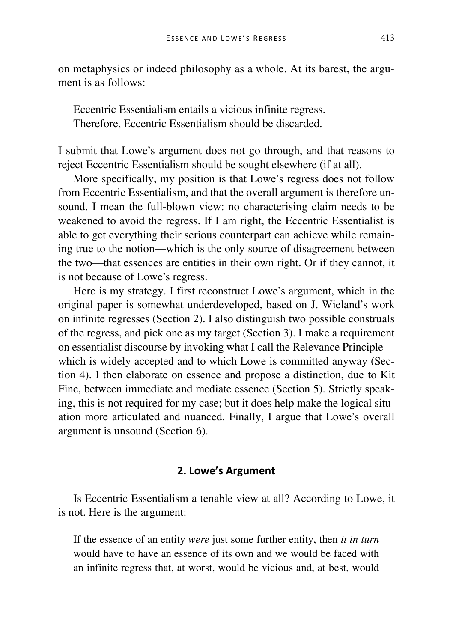on metaphysics or indeed philosophy as a whole. At its barest, the argument is as follows:

Eccentric Essentialism entails a vicious infinite regress. Therefore, Eccentric Essentialism should be discarded.

I submit that Lowe's argument does not go through, and that reasons to reject Eccentric Essentialism should be sought elsewhere (if at all).

More specifically, my position is that Lowe's regress does not follow from Eccentric Essentialism, and that the overall argument is therefore unsound. I mean the full-blown view: no characterising claim needs to be weakened to avoid the regress. If I am right, the Eccentric Essentialist is able to get everything their serious counterpart can achieve while remaining true to the notion—which is the only source of disagreement between the two—that essences are entities in their own right. Or if they cannot, it is not because of Lowe's regress.

Here is my strategy. I first reconstruct Lowe's argument, which in the original paper is somewhat underdeveloped, based on J. Wieland's work on infinite regresses (Section 2). I also distinguish two possible construals of the regress, and pick one as my target (Section 3). I make a requirement on essentialist discourse by invoking what I call the Relevance Principle which is widely accepted and to which Lowe is committed anyway (Section 4). I then elaborate on essence and propose a distinction, due to Kit Fine, between immediate and mediate essence (Section 5). Strictly speaking, this is not required for my case; but it does help make the logical situation more articulated and nuanced. Finally, I argue that Lowe's overall argument is unsound (Section 6).

## **2. Lowe's Argument**

Is Eccentric Essentialism a tenable view at all? According to Lowe, it is not. Here is the argument:

If the essence of an entity *were* just some further entity, then *it in turn* would have to have an essence of its own and we would be faced with an infinite regress that, at worst, would be vicious and, at best, would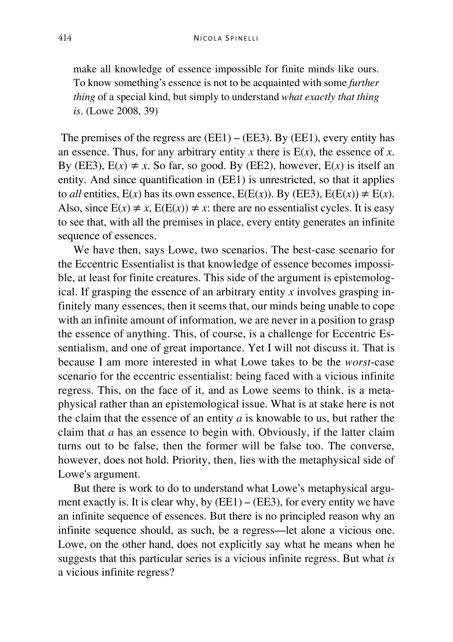make all knowledge of essence impossible for finite minds like ours. To know something's essence is not to be acquainted with some *further thing* of a special kind, but simply to understand *what exactly that thing is*. (Lowe 2008, 39)

The premises of the regress are  $(EE1) - (EE3)$ . By  $(EE1)$ , every entity has an essence. Thus, for any arbitrary entity *x* there is  $E(x)$ , the essence of *x*. By (EE3),  $E(x) \neq x$ . So far, so good. By (EE2), however,  $E(x)$  is itself an entity. And since quantification in (EE1) is unrestricted, so that it applies to *all* entities,  $E(x)$  has its own essence,  $E(E(x))$ . By (EE3),  $E(E(x)) \neq E(x)$ . Also, since  $E(x) \neq x$ ,  $E(E(x)) \neq x$ : there are no essentialist cycles. It is easy to see that, with all the premises in place, every entity generates an infinite sequence of essences.

We have then, says Lowe, two scenarios. The best-case scenario for the Eccentric Essentialist is that knowledge of essence becomes impossible, at least for finite creatures. This side of the argument is epistemological. If grasping the essence of an arbitrary entity *x* involves grasping infinitely many essences, then it seems that, our minds being unable to cope with an infinite amount of information, we are never in a position to grasp the essence of anything. This, of course, is a challenge for Eccentric Essentialism, and one of great importance. Yet I will not discuss it. That is because I am more interested in what Lowe takes to be the *worst*-case scenario for the eccentric essentialist: being faced with a vicious infinite regress. This, on the face of it, and as Lowe seems to think, is a metaphysical rather than an epistemological issue. What is at stake here is not the claim that the essence of an entity *a* is knowable to us, but rather the claim that *a* has an essence to begin with. Obviously, if the latter claim turns out to be false, then the former will be false too. The converse, however, does not hold. Priority, then, lies with the metaphysical side of Lowe's argument.

But there is work to do to understand what Lowe's metaphysical argument exactly is. It is clear why, by  $(EE1) - (EE3)$ , for every entity we have an infinite sequence of essences. But there is no principled reason why an infinite sequence should, as such, be a regress—let alone a vicious one. Lowe, on the other hand, does not explicitly say what he means when he suggests that this particular series is a vicious infinite regress. But what *is* a vicious infinite regress?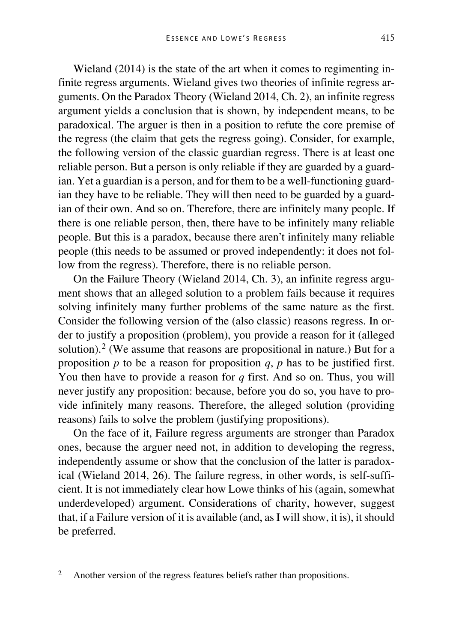Wieland (2014) is the state of the art when it comes to regimenting infinite regress arguments. Wieland gives two theories of infinite regress arguments. On the Paradox Theory (Wieland 2014, Ch. 2), an infinite regress argument yields a conclusion that is shown, by independent means, to be paradoxical. The arguer is then in a position to refute the core premise of the regress (the claim that gets the regress going). Consider, for example, the following version of the classic guardian regress. There is at least one reliable person. But a person is only reliable if they are guarded by a guardian. Yet a guardian is a person, and for them to be a well-functioning guardian they have to be reliable. They will then need to be guarded by a guardian of their own. And so on. Therefore, there are infinitely many people. If there is one reliable person, then, there have to be infinitely many reliable people. But this is a paradox, because there aren't infinitely many reliable people (this needs to be assumed or proved independently: it does not follow from the regress). Therefore, there is no reliable person.

On the Failure Theory (Wieland 2014, Ch. 3), an infinite regress argument shows that an alleged solution to a problem fails because it requires solving infinitely many further problems of the same nature as the first. Consider the following version of the (also classic) reasons regress. In order to justify a proposition (problem), you provide a reason for it (alleged solution).<sup>[2](#page-5-0)</sup> (We assume that reasons are propositional in nature.) But for a proposition *p* to be a reason for proposition *q*, *p* has to be justified first. You then have to provide a reason for *q* first. And so on. Thus, you will never justify any proposition: because, before you do so, you have to provide infinitely many reasons. Therefore, the alleged solution (providing reasons) fails to solve the problem (justifying propositions).

On the face of it, Failure regress arguments are stronger than Paradox ones, because the arguer need not, in addition to developing the regress, independently assume or show that the conclusion of the latter is paradoxical (Wieland 2014, 26). The failure regress, in other words, is self-sufficient. It is not immediately clear how Lowe thinks of his (again, somewhat underdeveloped) argument. Considerations of charity, however, suggest that, if a Failure version of it is available (and, as I will show, it is), it should be preferred.

<span id="page-5-0"></span><sup>&</sup>lt;sup>2</sup> Another version of the regress features beliefs rather than propositions.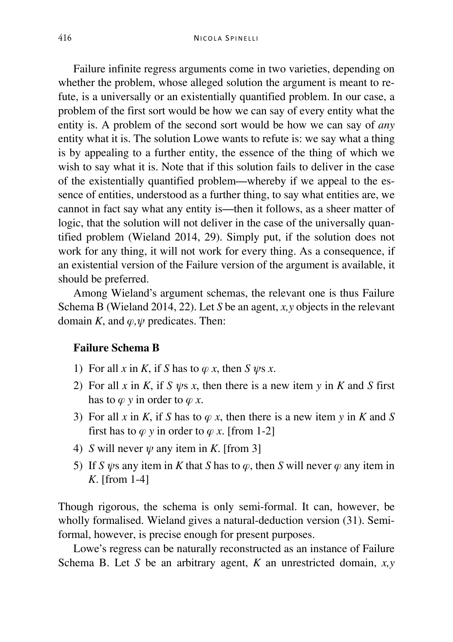Failure infinite regress arguments come in two varieties, depending on whether the problem, whose alleged solution the argument is meant to refute, is a universally or an existentially quantified problem. In our case, a problem of the first sort would be how we can say of every entity what the entity is. A problem of the second sort would be how we can say of *any* entity what it is. The solution Lowe wants to refute is: we say what a thing is by appealing to a further entity, the essence of the thing of which we wish to say what it is. Note that if this solution fails to deliver in the case of the existentially quantified problem—whereby if we appeal to the essence of entities, understood as a further thing, to say what entities are, we cannot in fact say what any entity is—then it follows, as a sheer matter of logic, that the solution will not deliver in the case of the universally quantified problem (Wieland 2014, 29). Simply put, if the solution does not work for any thing, it will not work for every thing. As a consequence, if an existential version of the Failure version of the argument is available, it should be preferred.

Among Wieland's argument schemas, the relevant one is thus Failure Schema B (Wieland 2014, 22). Let *S* be an agent, *x,y* objects in the relevant domain *K*, and *φ,ψ* predicates. Then:

## **Failure Schema B**

- 1) For all *x* in *K*, if *S* has to  $\varphi$  *x*, then *S*  $\psi$ s *x*.
- 2) For all *x* in *K*, if *S*  $\psi$ s *x*, then there is a new item *y* in *K* and *S* first has to  $\varphi$  *y* in order to  $\varphi$  *x*.
- 3) For all *x* in *K*, if *S* has to  $\varphi$  *x*, then there is a new item *y* in *K* and *S* first has to  $\varphi$  *y* in order to  $\varphi$  *x*. [from 1-2]
- 4) *S* will never  $\psi$  any item in *K*. [from 3]
- 5) If *S ψ*s any item in *K* that *S* has to *φ*, then *S* will never *φ* any item in *K*. [from 1-4]

Though rigorous, the schema is only semi-formal. It can, however, be wholly formalised. Wieland gives a natural-deduction version (31). Semiformal, however, is precise enough for present purposes.

Lowe's regress can be naturally reconstructed as an instance of Failure Schema B. Let *S* be an arbitrary agent, *K* an unrestricted domain, *x,y*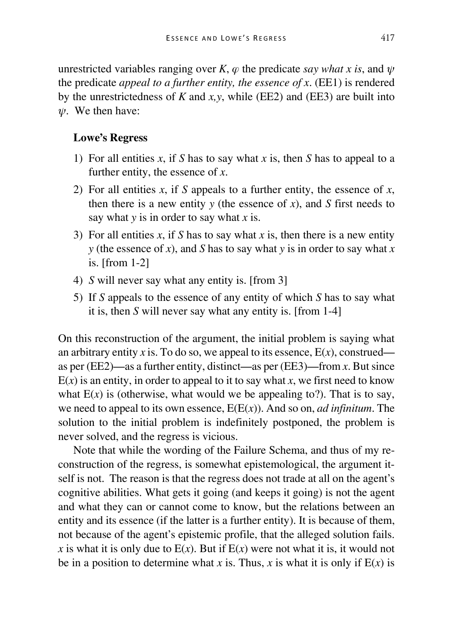unrestricted variables ranging over *K*, *φ* the predicate *say what x is*, and *ψ* the predicate *appeal to a further entity, the essence of x*. (EE1) is rendered by the unrestrictedness of *K* and *x,y*, while (EE2) and (EE3) are built into *ψ*. We then have:

## **Lowe's Regress**

- 1) For all entities *x*, if *S* has to say what *x* is, then *S* has to appeal to a further entity, the essence of *x*.
- 2) For all entities *x*, if *S* appeals to a further entity, the essence of *x*, then there is a new entity  $y$  (the essence of  $x$ ), and  $S$  first needs to say what *y* is in order to say what *x* is.
- 3) For all entities *x*, if *S* has to say what *x* is, then there is a new entity *y* (the essence of *x*), and *S* has to say what *y* is in order to say what *x* is. [from 1-2]
- 4) *S* will never say what any entity is. [from 3]
- 5) If *S* appeals to the essence of any entity of which *S* has to say what it is, then *S* will never say what any entity is. [from 1-4]

On this reconstruction of the argument, the initial problem is saying what an arbitrary entity *x* is. To do so, we appeal to its essence,  $E(x)$ , construed as per (EE2)—as a further entity, distinct—as per (EE3)—from *x*. But since  $E(x)$  is an entity, in order to appeal to it to say what x, we first need to know what  $E(x)$  is (otherwise, what would we be appealing to?). That is to say, we need to appeal to its own essence, E(E(*x*)). And so on, *ad infinitum*. The solution to the initial problem is indefinitely postponed, the problem is never solved, and the regress is vicious.

Note that while the wording of the Failure Schema, and thus of my reconstruction of the regress, is somewhat epistemological, the argument itself is not. The reason is that the regress does not trade at all on the agent's cognitive abilities. What gets it going (and keeps it going) is not the agent and what they can or cannot come to know, but the relations between an entity and its essence (if the latter is a further entity). It is because of them, not because of the agent's epistemic profile, that the alleged solution fails. *x* is what it is only due to  $E(x)$ . But if  $E(x)$  were not what it is, it would not be in a position to determine what *x* is. Thus, *x* is what it is only if  $E(x)$  is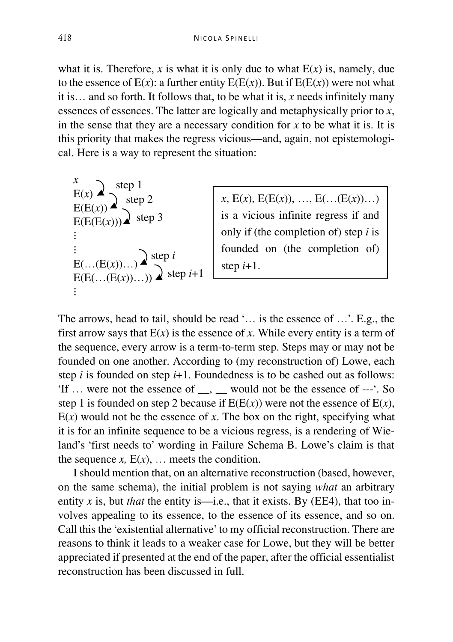what it is. Therefore, *x* is what it is only due to what  $E(x)$  is, namely, due to the essence of  $E(x)$ : a further entity  $E(E(x))$ . But if  $E(E(x))$  were not what it is… and so forth. It follows that, to be what it is, *x* needs infinitely many essences of essences. The latter are logically and metaphysically prior to *x*, in the sense that they are a necessary condition for *x* to be what it is. It is this priority that makes the regress vicious—and, again, not epistemological. Here is a way to represent the situation:

 $x, E(x), E(E(x)), \ldots, E(\ldots(E(x)))\ldots$ is a vicious infinite regress if and only if (the completion of) step *i* is founded on (the completion of) step  $i+1$ .

The arrows, head to tail, should be read '… is the essence of …'. E.g., the first arrow says that  $E(x)$  is the essence of x. While every entity is a term of the sequence, every arrow is a term-to-term step. Steps may or may not be founded on one another. According to (my reconstruction of) Lowe, each step *i* is founded on step *i*+1. Foundedness is to be cashed out as follows: 'If … were not the essence of \_\_, \_\_ would not be the essence of ---'. So step 1 is founded on step 2 because if  $E(E(x))$  were not the essence of  $E(x)$ ,  $E(x)$  would not be the essence of x. The box on the right, specifying what it is for an infinite sequence to be a vicious regress, is a rendering of Wieland's 'first needs to' wording in Failure Schema B. Lowe's claim is that the sequence  $x$ ,  $E(x)$ , ... meets the condition.

I should mention that, on an alternative reconstruction (based, however, on the same schema), the initial problem is not saying *what* an arbitrary entity *x* is, but *that* the entity is—i.e., that it exists. By (EE4), that too involves appealing to its essence, to the essence of its essence, and so on. Call this the 'existential alternative' to my official reconstruction. There are reasons to think it leads to a weaker case for Lowe, but they will be better appreciated if presented at the end of the paper, after the official essentialist reconstruction has been discussed in full.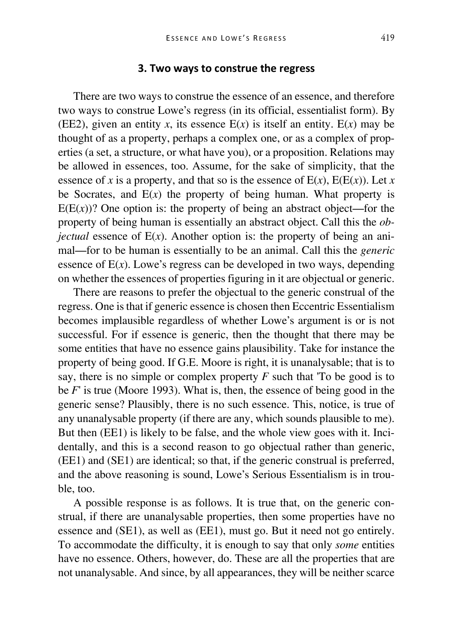### **3. Two ways to construe the regress**

There are two ways to construe the essence of an essence, and therefore two ways to construe Lowe's regress (in its official, essentialist form). By (EE2), given an entity *x*, its essence  $E(x)$  is itself an entity.  $E(x)$  may be thought of as a property, perhaps a complex one, or as a complex of properties (a set, a structure, or what have you), or a proposition. Relations may be allowed in essences, too. Assume, for the sake of simplicity, that the essence of *x* is a property, and that so is the essence of  $E(x)$ ,  $E(E(x))$ , Let *x* be Socrates, and  $E(x)$  the property of being human. What property is  $E(E(x))$ ? One option is: the property of being an abstract object—for the property of being human is essentially an abstract object. Call this the *objectual* essence of  $E(x)$ . Another option is: the property of being an animal—for to be human is essentially to be an animal. Call this the *generic* essence of  $E(x)$ . Lowe's regress can be developed in two ways, depending on whether the essences of properties figuring in it are objectual or generic.

There are reasons to prefer the objectual to the generic construal of the regress. One is that if generic essence is chosen then Eccentric Essentialism becomes implausible regardless of whether Lowe's argument is or is not successful. For if essence is generic, then the thought that there may be some entities that have no essence gains plausibility. Take for instance the property of being good. If G.E. Moore is right, it is unanalysable; that is to say, there is no simple or complex property *F* such that 'To be good is to be *F*' is true (Moore 1993). What is, then, the essence of being good in the generic sense? Plausibly, there is no such essence. This, notice, is true of any unanalysable property (if there are any, which sounds plausible to me). But then (EE1) is likely to be false, and the whole view goes with it. Incidentally, and this is a second reason to go objectual rather than generic, (EE1) and (SE1) are identical; so that, if the generic construal is preferred, and the above reasoning is sound, Lowe's Serious Essentialism is in trouble, too.

A possible response is as follows. It is true that, on the generic construal, if there are unanalysable properties, then some properties have no essence and (SE1), as well as (EE1), must go. But it need not go entirely. To accommodate the difficulty, it is enough to say that only *some* entities have no essence. Others, however, do. These are all the properties that are not unanalysable. And since, by all appearances, they will be neither scarce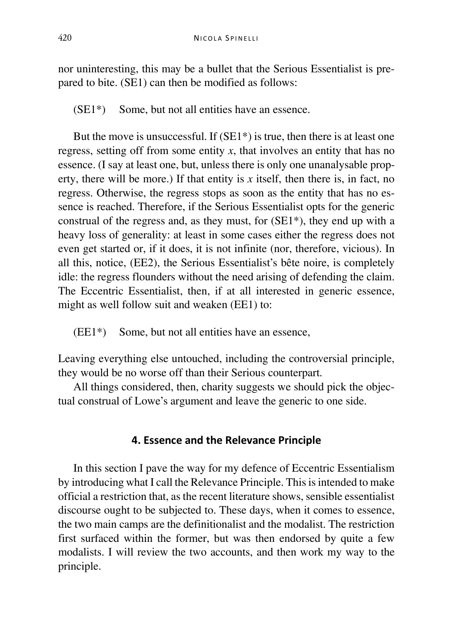nor uninteresting, this may be a bullet that the Serious Essentialist is prepared to bite. (SE1) can then be modified as follows:

(SE1\*) Some, but not all entities have an essence.

But the move is unsuccessful. If  $(SE1*)$  is true, then there is at least one regress, setting off from some entity  $x$ , that involves an entity that has no essence. (I say at least one, but, unless there is only one unanalysable property, there will be more.) If that entity is  $x$  itself, then there is, in fact, no regress. Otherwise, the regress stops as soon as the entity that has no essence is reached. Therefore, if the Serious Essentialist opts for the generic construal of the regress and, as they must, for (SE1\*), they end up with a heavy loss of generality: at least in some cases either the regress does not even get started or, if it does, it is not infinite (nor, therefore, vicious). In all this, notice, (EE2), the Serious Essentialist's bête noire, is completely idle: the regress flounders without the need arising of defending the claim. The Eccentric Essentialist, then, if at all interested in generic essence, might as well follow suit and weaken (EE1) to:

(EE1\*) Some, but not all entities have an essence,

Leaving everything else untouched, including the controversial principle, they would be no worse off than their Serious counterpart.

All things considered, then, charity suggests we should pick the objectual construal of Lowe's argument and leave the generic to one side.

## **4. Essence and the Relevance Principle**

In this section I pave the way for my defence of Eccentric Essentialism by introducing what I call the Relevance Principle. This is intended to make official a restriction that, as the recent literature shows, sensible essentialist discourse ought to be subjected to. These days, when it comes to essence, the two main camps are the definitionalist and the modalist. The restriction first surfaced within the former, but was then endorsed by quite a few modalists. I will review the two accounts, and then work my way to the principle.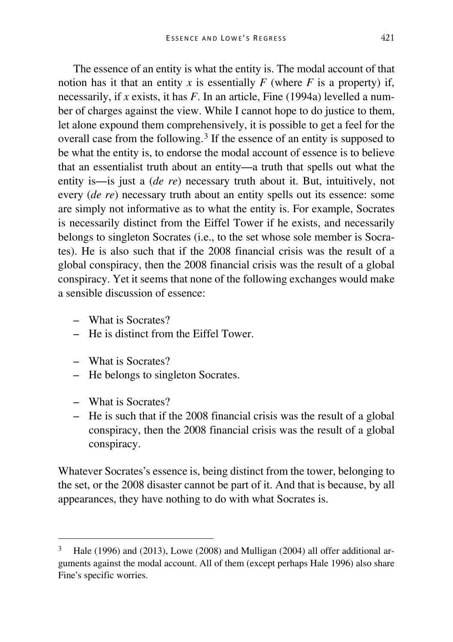The essence of an entity is what the entity is. The modal account of that notion has it that an entity *x* is essentially  $F$  (where  $F$  is a property) if, necessarily, if *x* exists, it has *F*. In an article, Fine (1994a) levelled a number of charges against the view. While I cannot hope to do justice to them, let alone expound them comprehensively, it is possible to get a feel for the overall case from the following.[3](#page-11-0) If the essence of an entity is supposed to be what the entity is, to endorse the modal account of essence is to believe that an essentialist truth about an entity—a truth that spells out what the entity is—is just a (*de re*) necessary truth about it. But, intuitively, not every (*de re*) necessary truth about an entity spells out its essence: some are simply not informative as to what the entity is. For example, Socrates is necessarily distinct from the Eiffel Tower if he exists, and necessarily belongs to singleton Socrates (i.e., to the set whose sole member is Socrates). He is also such that if the 2008 financial crisis was the result of a global conspiracy, then the 2008 financial crisis was the result of a global conspiracy. Yet it seems that none of the following exchanges would make a sensible discussion of essence:

- What is Socrates?
- He is distinct from the Eiffel Tower.
- What is Socrates?
- He belongs to singleton Socrates.
- What is Socrates?
- He is such that if the 2008 financial crisis was the result of a global conspiracy, then the 2008 financial crisis was the result of a global conspiracy.

Whatever Socrates's essence is, being distinct from the tower, belonging to the set, or the 2008 disaster cannot be part of it. And that is because, by all appearances, they have nothing to do with what Socrates is.

<span id="page-11-0"></span>Hale (1996) and (2013), Lowe (2008) and Mulligan (2004) all offer additional arguments against the modal account. All of them (except perhaps Hale 1996) also share Fine's specific worries.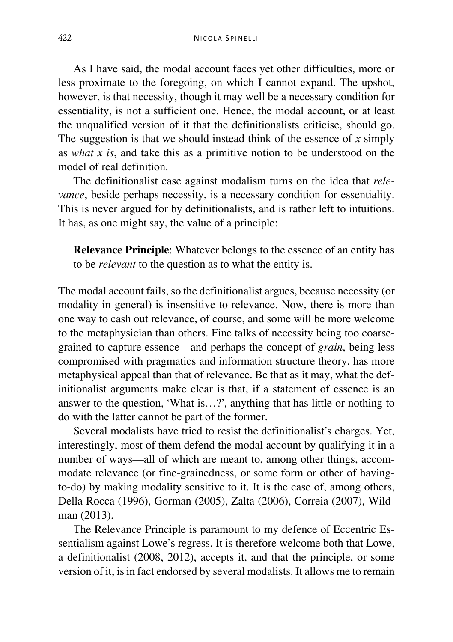As I have said, the modal account faces yet other difficulties, more or less proximate to the foregoing, on which I cannot expand. The upshot, however, is that necessity, though it may well be a necessary condition for essentiality, is not a sufficient one. Hence, the modal account, or at least the unqualified version of it that the definitionalists criticise, should go. The suggestion is that we should instead think of the essence of *x* simply as *what x is*, and take this as a primitive notion to be understood on the model of real definition.

The definitionalist case against modalism turns on the idea that *relevance*, beside perhaps necessity, is a necessary condition for essentiality. This is never argued for by definitionalists, and is rather left to intuitions. It has, as one might say, the value of a principle:

**Relevance Principle**: Whatever belongs to the essence of an entity has to be *relevant* to the question as to what the entity is.

The modal account fails, so the definitionalist argues, because necessity (or modality in general) is insensitive to relevance. Now, there is more than one way to cash out relevance, of course, and some will be more welcome to the metaphysician than others. Fine talks of necessity being too coarsegrained to capture essence—and perhaps the concept of *grain*, being less compromised with pragmatics and information structure theory, has more metaphysical appeal than that of relevance. Be that as it may, what the definitionalist arguments make clear is that, if a statement of essence is an answer to the question, 'What is…?', anything that has little or nothing to do with the latter cannot be part of the former.

Several modalists have tried to resist the definitionalist's charges. Yet, interestingly, most of them defend the modal account by qualifying it in a number of ways—all of which are meant to, among other things, accommodate relevance (or fine-grainedness, or some form or other of havingto-do) by making modality sensitive to it. It is the case of, among others, Della Rocca (1996), Gorman (2005), Zalta (2006), Correia (2007), Wildman (2013).

The Relevance Principle is paramount to my defence of Eccentric Essentialism against Lowe's regress. It is therefore welcome both that Lowe, a definitionalist (2008, 2012), accepts it, and that the principle, or some version of it, is in fact endorsed by several modalists. It allows me to remain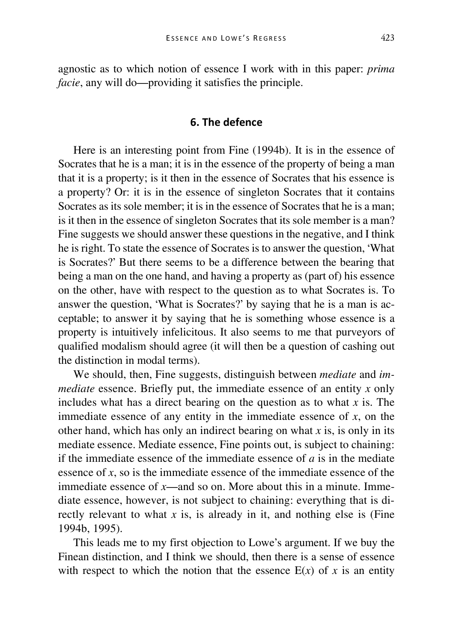agnostic as to which notion of essence I work with in this paper: *prima facie*, any will do—providing it satisfies the principle.

### **6. The defence**

Here is an interesting point from Fine (1994b). It is in the essence of Socrates that he is a man; it is in the essence of the property of being a man that it is a property; is it then in the essence of Socrates that his essence is a property? Or: it is in the essence of singleton Socrates that it contains Socrates as its sole member; it is in the essence of Socrates that he is a man; is it then in the essence of singleton Socrates that its sole member is a man? Fine suggests we should answer these questions in the negative, and I think he is right. To state the essence of Socrates is to answer the question, 'What is Socrates?' But there seems to be a difference between the bearing that being a man on the one hand, and having a property as (part of) his essence on the other, have with respect to the question as to what Socrates is. To answer the question, 'What is Socrates?' by saying that he is a man is acceptable; to answer it by saying that he is something whose essence is a property is intuitively infelicitous. It also seems to me that purveyors of qualified modalism should agree (it will then be a question of cashing out the distinction in modal terms).

We should, then, Fine suggests, distinguish between *mediate* and *immediate* essence. Briefly put, the immediate essence of an entity *x* only includes what has a direct bearing on the question as to what *x* is. The immediate essence of any entity in the immediate essence of *x*, on the other hand, which has only an indirect bearing on what *x* is, is only in its mediate essence. Mediate essence, Fine points out, is subject to chaining: if the immediate essence of the immediate essence of *a* is in the mediate essence of *x*, so is the immediate essence of the immediate essence of the immediate essence of *x*—and so on. More about this in a minute. Immediate essence, however, is not subject to chaining: everything that is directly relevant to what *x* is, is already in it, and nothing else is (Fine 1994b, 1995).

This leads me to my first objection to Lowe's argument. If we buy the Finean distinction, and I think we should, then there is a sense of essence with respect to which the notion that the essence  $E(x)$  of x is an entity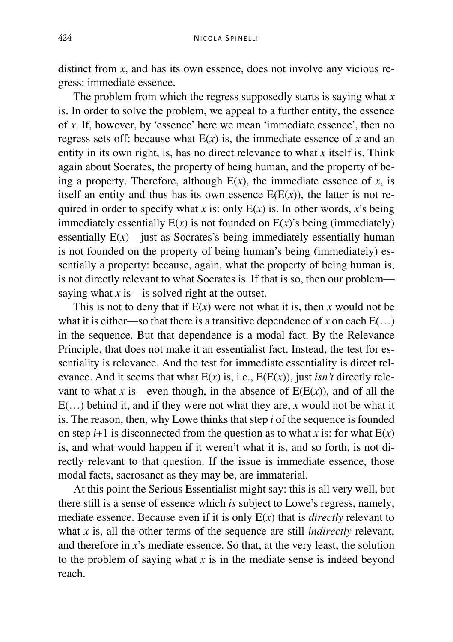distinct from *x*, and has its own essence, does not involve any vicious regress: immediate essence.

The problem from which the regress supposedly starts is saying what *x* is. In order to solve the problem, we appeal to a further entity, the essence of *x*. If, however, by 'essence' here we mean 'immediate essence', then no regress sets off: because what  $E(x)$  is, the immediate essence of x and an entity in its own right, is, has no direct relevance to what *x* itself is. Think again about Socrates, the property of being human, and the property of being a property. Therefore, although  $E(x)$ , the immediate essence of *x*, is itself an entity and thus has its own essence  $E(E(x))$ , the latter is not required in order to specify what *x* is: only  $E(x)$  is. In other words, *x*'s being immediately essentially  $E(x)$  is not founded on  $E(x)$ 's being (immediately) essentially  $E(x)$ —just as Socrates's being immediately essentially human is not founded on the property of being human's being (immediately) essentially a property: because, again, what the property of being human is, is not directly relevant to what Socrates is. If that is so, then our problem saying what *x* is—is solved right at the outset.

This is not to deny that if  $E(x)$  were not what it is, then x would not be what it is either—so that there is a transitive dependence of *x* on each  $E(...)$ in the sequence. But that dependence is a modal fact. By the Relevance Principle, that does not make it an essentialist fact. Instead, the test for essentiality is relevance. And the test for immediate essentiality is direct relevance. And it seems that what  $E(x)$  is, i.e.,  $E(E(x))$ , just *isn't* directly relevant to what *x* is—even though, in the absence of  $E(E(x))$ , and of all the E(…) behind it, and if they were not what they are, *x* would not be what it is. The reason, then, why Lowe thinks that step *i* of the sequence is founded on step  $i+1$  is disconnected from the question as to what *x* is: for what  $E(x)$ is, and what would happen if it weren't what it is, and so forth, is not directly relevant to that question. If the issue is immediate essence, those modal facts, sacrosanct as they may be, are immaterial.

At this point the Serious Essentialist might say: this is all very well, but there still is a sense of essence which *is* subject to Lowe's regress, namely, mediate essence. Because even if it is only E(*x*) that is *directly* relevant to what *x* is, all the other terms of the sequence are still *indirectly* relevant, and therefore in *x*'s mediate essence. So that, at the very least, the solution to the problem of saying what *x* is in the mediate sense is indeed beyond reach.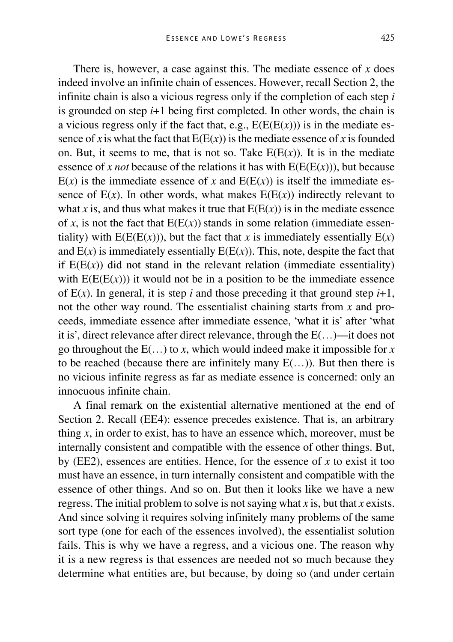There is, however, a case against this. The mediate essence of *x* does indeed involve an infinite chain of essences. However, recall Section 2, the infinite chain is also a vicious regress only if the completion of each step *i* is grounded on step *i*+1 being first completed. In other words, the chain is a vicious regress only if the fact that, e.g.,  $E(E(E(x)))$  is in the mediate essence of *x* is what the fact that  $E(E(x))$  is the mediate essence of *x* is founded on. But, it seems to me, that is not so. Take  $E(E(x))$ . It is in the mediate essence of *x not* because of the relations it has with  $E(E(E(x)))$ , but because  $E(x)$  is the immediate essence of *x* and  $E(E(x))$  is itself the immediate essence of  $E(x)$ . In other words, what makes  $E(E(x))$  indirectly relevant to what *x* is, and thus what makes it true that  $E(E(x))$  is in the mediate essence of *x*, is not the fact that  $E(E(x))$  stands in some relation (immediate essentiality) with  $E(E(E(x)))$ , but the fact that *x* is immediately essentially  $E(x)$ and  $E(x)$  is immediately essentially  $E(E(x))$ . This, note, despite the fact that if  $E(E(x))$  did not stand in the relevant relation (immediate essentiality) with  $E(E(E(x)))$  it would not be in a position to be the immediate essence of  $E(x)$ . In general, it is step *i* and those preceding it that ground step  $i+1$ , not the other way round. The essentialist chaining starts from *x* and proceeds, immediate essence after immediate essence, 'what it is' after 'what it is', direct relevance after direct relevance, through the E(…)—it does not go throughout the  $E(...)$  to *x*, which would indeed make it impossible for *x* to be reached (because there are infinitely many  $E(...)$ ). But then there is no vicious infinite regress as far as mediate essence is concerned: only an innocuous infinite chain.

A final remark on the existential alternative mentioned at the end of Section 2. Recall (EE4): essence precedes existence. That is, an arbitrary thing *x*, in order to exist, has to have an essence which, moreover, must be internally consistent and compatible with the essence of other things. But, by (EE2), essences are entities. Hence, for the essence of  $x$  to exist it too must have an essence, in turn internally consistent and compatible with the essence of other things. And so on. But then it looks like we have a new regress. The initial problem to solve is not saying what *x* is, but that *x* exists. And since solving it requires solving infinitely many problems of the same sort type (one for each of the essences involved), the essentialist solution fails. This is why we have a regress, and a vicious one. The reason why it is a new regress is that essences are needed not so much because they determine what entities are, but because, by doing so (and under certain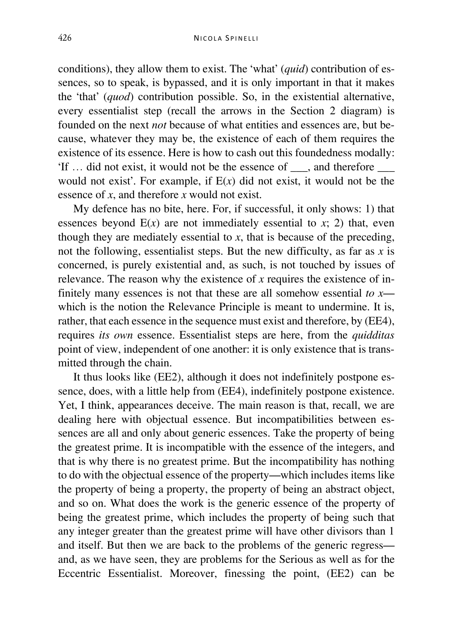conditions), they allow them to exist. The 'what' (*quid*) contribution of essences, so to speak, is bypassed, and it is only important in that it makes the 'that' (*quod*) contribution possible. So, in the existential alternative, every essentialist step (recall the arrows in the Section 2 diagram) is founded on the next *not* because of what entities and essences are, but because, whatever they may be, the existence of each of them requires the existence of its essence. Here is how to cash out this foundedness modally: 'If … did not exist, it would not be the essence of \_\_\_, and therefore \_\_\_ would not exist'. For example, if E(*x*) did not exist, it would not be the essence of *x*, and therefore *x* would not exist.

My defence has no bite, here. For, if successful, it only shows: 1) that essences beyond  $E(x)$  are not immediately essential to  $x$ ; 2) that, even though they are mediately essential to  $x$ , that is because of the preceding, not the following, essentialist steps. But the new difficulty, as far as *x* is concerned, is purely existential and, as such, is not touched by issues of relevance. The reason why the existence of *x* requires the existence of infinitely many essences is not that these are all somehow essential *to x* which is the notion the Relevance Principle is meant to undermine. It is, rather, that each essence in the sequence must exist and therefore, by (EE4), requires *its own* essence. Essentialist steps are here, from the *quidditas* point of view, independent of one another: it is only existence that is transmitted through the chain.

It thus looks like (EE2), although it does not indefinitely postpone essence, does, with a little help from (EE4), indefinitely postpone existence. Yet, I think, appearances deceive. The main reason is that, recall, we are dealing here with objectual essence. But incompatibilities between essences are all and only about generic essences. Take the property of being the greatest prime. It is incompatible with the essence of the integers, and that is why there is no greatest prime. But the incompatibility has nothing to do with the objectual essence of the property—which includes items like the property of being a property, the property of being an abstract object, and so on. What does the work is the generic essence of the property of being the greatest prime, which includes the property of being such that any integer greater than the greatest prime will have other divisors than 1 and itself. But then we are back to the problems of the generic regress and, as we have seen, they are problems for the Serious as well as for the Eccentric Essentialist. Moreover, finessing the point, (EE2) can be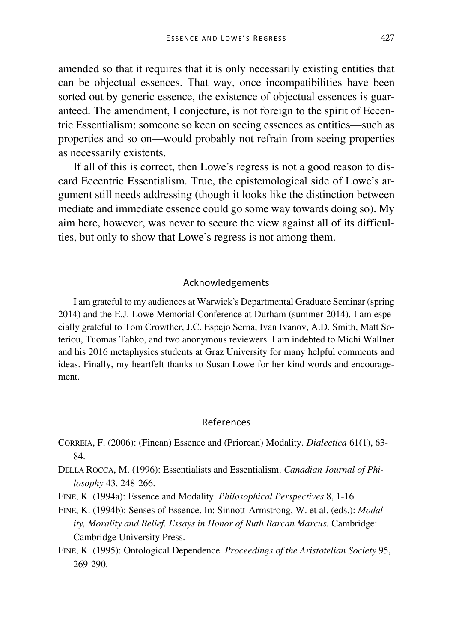amended so that it requires that it is only necessarily existing entities that can be objectual essences. That way, once incompatibilities have been sorted out by generic essence, the existence of objectual essences is guaranteed. The amendment, I conjecture, is not foreign to the spirit of Eccentric Essentialism: someone so keen on seeing essences as entities—such as properties and so on—would probably not refrain from seeing properties as necessarily existents.

If all of this is correct, then Lowe's regress is not a good reason to discard Eccentric Essentialism. True, the epistemological side of Lowe's argument still needs addressing (though it looks like the distinction between mediate and immediate essence could go some way towards doing so). My aim here, however, was never to secure the view against all of its difficulties, but only to show that Lowe's regress is not among them.

#### Acknowledgements

I am grateful to my audiences at Warwick's Departmental Graduate Seminar (spring 2014) and the E.J. Lowe Memorial Conference at Durham (summer 2014). I am especially grateful to Tom Crowther, J.C. Espejo Serna, Ivan Ivanov, A.D. Smith, Matt Soteriou, Tuomas Tahko, and two anonymous reviewers. I am indebted to Michi Wallner and his 2016 metaphysics students at Graz University for many helpful comments and ideas. Finally, my heartfelt thanks to Susan Lowe for her kind words and encouragement.

#### References

- CORREIA, F. (2006): (Finean) Essence and (Priorean) Modality. *Dialectica* 61(1), 63- 84.
- DELLA ROCCA, M. (1996): Essentialists and Essentialism. *Canadian Journal of Philosophy* 43, 248-266.
- FINE, K. (1994a): Essence and Modality. *Philosophical Perspectives* 8, 1-16.
- FINE, K. (1994b): Senses of Essence. In: Sinnott-Armstrong, W. et al. (eds.): *Modality, Morality and Belief. Essays in Honor of Ruth Barcan Marcus.* Cambridge: Cambridge University Press.
- FINE, K. (1995): Ontological Dependence. *Proceedings of the Aristotelian Society* 95, 269-290.